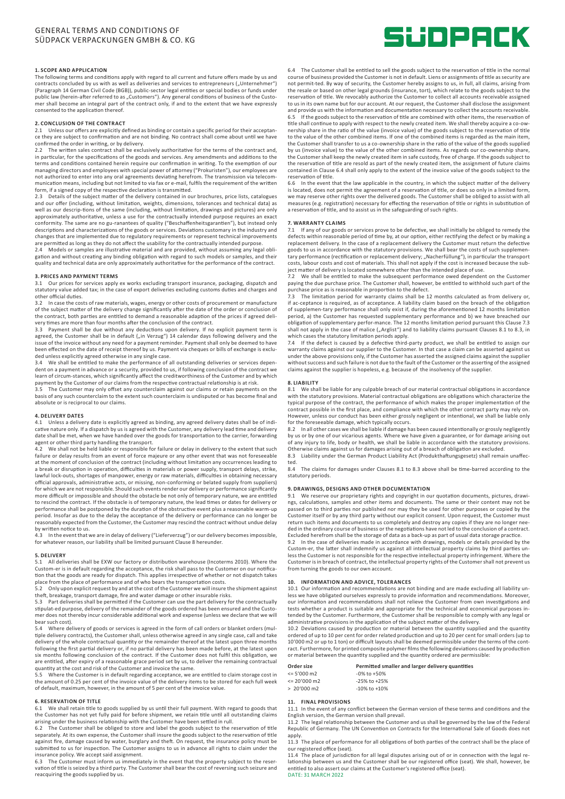# **1. SCOPE AND APPLICATION**

The following terms and conditions apply with regard to all current and future offers made by us and contracts concluded by us with as well as deliveries and services to entrepreneurs ("Unternehmer") (Paragraph 14 German Civil Code (BGB)), public-sector legal entities or special bodies or funds under public law (herein-after referred to as "Customers"). Any general conditions of business of the Custo-<br>mer shall become an integral part of the contract only, if and to the extent that we have expressly consented to the application thereof.

### **2. CONCLUSION OF THE CONTRACT**

2.1 Unless our offers are explicitly defined as binding or contain a specific period for their acceptance they are subject to confirmation and are not binding. No contract shall come about until we have confirmed the order in writing, or by delivery.

2.2 The written sales contract shall be exclusively authoritative for the terms of the contract and, in particular, for the specifications of the goods and services. Any amendments and additions to the terms and conditions contained herein require our confirmation in writing. To the exemption of our managing directors and employees with special power of attorney ("Prokuristen"), our employees are not authorized to enter into any oral agreements deviating herefrom. The transmission via telecommunication means, including but not limited to via fax or e-mail, fulfils the requirement of the written form, if a signed copy of the respective declaration is transmitted.<br>2.3 Details of the subject matter of the delivery contained in our

2.3 Details of the subject matter of the delivery contained in our brochures, price lists, catalogues and our offer (including, without limitation, weights, dimensions, tolerances and technical data) as<br>well as our descrip-tions of the same (including, without limitation, drawings and pictures) are only<br>approximately autho conformity. The same are no gu-ranantees of quality ("Beschaffenheitsgarantien"), but instead only descriptions and characterizations of the goods or services. Deviations customary in the industry and changes that are implemented due to regulatory requirements or represent technical improvements

are permitted as long as they do not affect the usability for the contractually intended purpose.<br>2.4 Models or samples are illustrative material and are provided, without assuming any legal obli-<br>gation and without cr quality and technical data are only approximately authoritative for the performance of the contract.

# **3. PRICES AND PAYMENT TERMS**

3.1 Our prices for services apply ex works excluding transport insurance, packaging, dispatch and statutory value added tax; in the case of export deliveries excluding customs duties and charges and other official duties.

3.2 In case the costs of raw materials, wages, energy or other costs of procurement or manufacture of the subject matter of the delivery change significantly after the date of the order or conclusion of the contract, both parties are entitled to demand a reasonable adaption of the prices if agreed delivery times are more than four months after the conclusion of the contract.

3.3 Payment shall be due without any deductions upon delivery. If no explicit payment term is<br>agreed, the Customer shall be in default ("in Verzug") 14 calendar days following delivery and the issue of the invoice without any need for a payment reminder. Payment shall only be deemed to have been effected on the date of receipt thereof by us. Payment via cheques or bills of exchange is excluded unless explicitly agreed otherwise in any single case.

3.4 We shall be entitled to make the performance of all outstanding deliveries or services dependent on a payment in advance or a security, provided to us, if following conclusion of the contract we learn of circum-stances, which significantly affect the creditworthiness of the Customer and by which

payment by the Customer of our claims from the respective contractual relationship is at risk. 3.5 The Customer may only offset any counterclaim against our claims or retain payments on the basis of any such counterclaim to the extent such counterclaim is undisputed or has become final and absolute or is reciprocal to our claims.

# **4. DELIVERY DATES**

4.1 Unless a delivery date is explicitly agreed as binding, any agreed delivery dates shall be of indi-cative nature only. If a dispatch by us is agreed with the Customer, any delivery lead time and delivery date shall be met, when we have handed over the goods for transportation to the carrier, forwarding agent or other third party handling the transport.

4.2 We shall not be held liable or responsible for failure or delay in delivery to the extent that such failure or delay results from an event of force majeure or any other event that was not foreseeable at the moment of conclusion of the contract (including without limitation any occurrences leading to a break or disruption in operation, difficulties in materials or power supply, transport delays, strike, lawful lock-outs, shortages of manpower, energy or raw materials, difficulties in obtaining necessary official approvals, administrative acts, or missing, non-conforming or belated supply from suppliers) for which we are not responsible. Should such events render our delivery or performance significantly more difficult or impossible and should the obstacle be not only of temporary nature, we are entitled to rescind the contract. If the obstacle is of temporary nature, the lead times or dates for delivery or performance shall be postponed by the duration of the obstructive event plus a reasonable warm-up period. Insofar as due to the delay the acceptance of the delivery or performance can no longer be reasonably expected from the Customer, the Customer may rescind the contract without undue delay by written notice to us.<br>4.3 In the event that

4.3 In the event that we are in delay of delivery ("Lieferverzug") or our delivery becomes impossible, for whatever reason, our liability shall be limited pursuant Clause 8 hereunder.

# **5. DELIVERY**

5.1 All deliveries shall be EXW our factory or distribution warehouse (Incoterms 2010). Where the Custom-er is in default regarding the acceptance, the risk shall pass to the Customer on our notifica-tion that the goods are ready for dispatch. This applies irrespective of whether or not dispatch takes

place from the place of performance and of who bears the transportation costs. 5.2 Only upon explicit request by and at the cost of the Customer we will insure the shipment against

theft, breakage, transport damage, fire and water damage or other insurable risks. 5.3 Part deliveries shall be permitted if the Customer can use the part delivery for the contractually stipulat-ed purpose, delivery of the remainder of the goods ordered has been ensured and the Custo-mer does not thereby incur considerable additional work and expense (unless we declare that we will bear such cost).

5.4 Where delivery of goods or services is agreed in the form of call orders or blanket orders (multiple delivery contracts), the Customer shall, unless otherwise agreed in any single case, call and take delivery of the whole contractual quantity or the remainder thereof at the latest upon three months following the first partial delivery or, if no partial delivery has been made before, at the latest upon six months following conclusion of the contract. If the Customer does not fulfil this obligation, we are entitled, after expiry of a reasonable grace period set by us, to deliver the remaining contractual quantity at the cost and risk of the Customer and invoice the same.

5.5 Where the Customer is in default regarding acceptance, we are entitled to claim storage cost in the amount of 0.25 per cent of the invoice value of the delivery items to be stored for each full week of default, maximum, however, in the amount of 5 per cent of the invoice value.

# **6. RESERVATION OF TITLE**

We shall retain title to goods supplied by us until their full payment. With regard to goods that the Customer has not yet fully paid for before shipment, we retain title until all outstanding claims arising under the business relationship with the Customer have been settled in rull.

6.2 The Customer shall be obliged to store and label the goods subject to the reservation of title separately. At its own expense, the Customer shall insure the goods subject to the reservation of title separately. against fire, damage caused by water, burglary and theft. On request, the insurance policy must be<br>submitted to us for inspection. The Customer assigns to us in advance all rights to claim under the insurance policy. We accept said assignment.

The Customer must inform us immediately in the event that the property subject to the reser--vation of title is seized by a third party. The Customer shall bear the cost of reversing such seizure and reacquiring the goods supplied by us.



6.4 The Customer shall be entitled to sell the goods subject to the reservation of title in the normal course of business provided the Customer is not in default. Liens or assignments of title as security are not permit-ted. By way of security, the Customer hereby assigns to us, in full, all claims, arising from the resale or based on other legal grounds (insurance, tort), which relate to the goods subject to the reservation of title. We revocably authorize the Customer to collect all accounts receivable assigned to us in its own name but for our account. At our request, the Customer shall disclose the assignment and provide us with the information and documentation necessary to collect the accounts receivable. If the goods subject to the reservation of title are combined with other items, the reservation of title shall continue to apply with respect to the newly created item. We shall thereby acquire a co-ownership share in the ratio of the value (invoice value) of the goods subject to the reservation of title to the value of the other combined items. If one of the combined items is regarded as the main item, the Customer shall transfer to us a co-ownership share in the ratio of the value of the goods supplied by us (invoice value) to the value of the other combined items. As regards our co-ownership share,<br>the Customer shall keep the newly created item in safe custody, free of charge. If the goods subject to the reservation of title are resold as part of the newly created item, the assignment of future claims contained in Clause 6.4 shall only apply to the extent of the invoice value of the goods subject to the reservation of title.

6.6 In the event that the law applicable in the country, in which the subject matter of the delivery is located, does not permit the agreement of a reservation of title, or does so only in a limited form, we may reserve other rights over the delivered goods. The Customer shall be obliged to assist with all measures (e.g. registration) necessary for effecting the reservation of title or rights in substitution of a reservation of title, and to assist us in the safeguarding of such rights.

# **7. WARRANTY CLAIMS**

7.1 If any of our goods or services prove to be defective, we shall initially be obliged to remedy the defects within reasonable period of time by, at our option, either rectifying the defect or by making a replacement delivery. In the case of a replacement delivery the Customer must return the defective<br>goods to us in accordance with the statutory provisions. We shall bear the costs of such supplemen-<br>tary performance (recti costs, labour costs and cost of materials. This shall not apply if the cost is increased because the sub-ject matter of delivery is located somewhere other than the intended place of use.

We shall be entitled to make the subsequent performance owed dependent on the Customer paying the due purchase price. The Customer shall, however, be entitled to withhold such part of the

purchase price as is reasonable in proportion to the defect. 7.3 The limitation period for warranty claims shall be 12 months calculated as from delivery or, if ac-ceptance is required, as of acceptance. A liability claim based on the breach of the obligation of supplemen-tary performance shall only exist if, during the aforementioned 12 months limitation period, a) the Customer has requested supplementary performance and b) we have breached our obligation of supplementary perfor-mance. The 12 months limitation period pursuant this Clause 7.3 shall not apply in the case of malice ("Arglist") and to liability claims pursuant Clauses 8.1 to 8.3, in<br>which cases the statutory limitation periods apply.

7.4 If the defect is caused by a defective third-party product, we shall be entitled to assign our warranty claims against our supplier to the Customer. In that case a claim can be asserted against us under the above provisions only, if the Customer has asserted the assigned claims against the supplier without success and such failure is not due to the fault of the Customer or the asserting of the assigned claims against the supplier is hopeless, e.g. because of the insolvency of the supplier.

# **8. LIABILITY**

8.1 We shall be liable for any culpable breach of our material contractual obligations in accordance with the statutory provisions. Material contractual obligations are obligations which characterize the typical purpose of the contract, the performance of which makes the proper implementation of the contract possible in the first place, and compliance with which the other contract party may rely on. However, unless our conduct has been either grossly negligent or intentional, we shall be liable only

for the foreseeable damage, which typically occurs. 8.2 In all other cases we shall be liable if damage has been caused intentionally or grossly negligently by us or by one of our vicarious agents. Where we have given a guarantee, or for damage arising out of any injury to life, body or health, we shall be liable in accordance with the statutory provisions.

Otherwise claims against us for damages arising out of a breach of obligation are excluded. 8.3 Liability under the German Product Liability Act (Produkthaftungsgesetz) shall remain unaffected.

The claims for damages under Clauses 8.1 to 8.3 above shall be time-barred according to the statutory periods.

# **9. DRAWINGS, DESIGNS AND OTHER DOCUMENTATION**

9.1 We reserve our proprietary rights and copyright in our quotation documents, pictures, drawings, calculations, samples and other items and documents. The same or their content may not be passed on to third parties nor published nor may they be used for other purposes or copied by the Customer itself or by any third party without our explicit consent. Upon request, the Customer must return such items and documents to us completely and destroy any copies if they are no longer needed in the ordinary course of business or the negotiations have not led to the conclusion of a contract. Excluded herefrom shall be the storage of data as a back-up as part of usual data storage practice.

9.2 In the case of deliveries made in accordance with drawings, models or details provided by the Custom-er, the latter shall indemnify us against all intellectual property claims by third parties unless the Customer is not responsible for the respective intellectual property infringement. Where the Customer is in breach of contract, the intellectual property rights of the Customer shall not prevent us from turning the goods to our own account.

**10. INFORMATION AND ADVICE, TOLERANCES** 10.1 Our information and recommendations are not binding and are made excluding all liability unless we have obligated ourselves expressly to provide information and recommendations. Moreover, our information and recommendations shall not relieve the Customer from own investigations and tests whether a product is suitable and appropriate for the technical and economical purposes in-tended by the Customer. Furthermore, the Customer shall be responsible to comply with any legal or

administrative provisions in the application of the subject matter of the delivery. 10.2 Deviations caused by production or material between the quantity supplied and the quantity ordered of up to 10 per cent for order related production and up to 20 per cent for small orders (up to 10'000 m2 or up to 1 ton) or difficult layouts shall be deemed permissible under the terms of the contract. Furthermore, for printed composite polymer films the following deviations caused by production or material between the quantity supplied and the quantity ordered are permissible:

| Order size            | Permitted smaller and larger delivery quantities |
|-----------------------|--------------------------------------------------|
| $\leq$ 5'000 m2       | $-0\%$ to $+50\%$                                |
| $\leq$ 20'000 m2      | $-25\%$ to $+25\%$                               |
| $> 20'000 \text{ m2}$ | $-10\%$ to $+10\%$                               |

# **11. FINAL PROVISIONS**

11.1 In the event of any conflict between the German version of these terms and conditions and the English version, the German version shall prevail. 11.2 The legal relationship between the Customer and us shall be governed by the law of the Federal

Republic of Germany. The UN Convention on Contracts for the International Sale of Goods does not apply.

11.3 The place of performance for all obligations of both parties of the contract shall be the place of our registered office (seat).

11.4 The place of jurisdiction for all legal disputes arising out of or in connection with the legal relationship between us and the Customer shall be our registered office (seat). We shall, however, be entitled to also assert our claims at the Customer's registered office (seat). DATE: 31 MARCH 2022